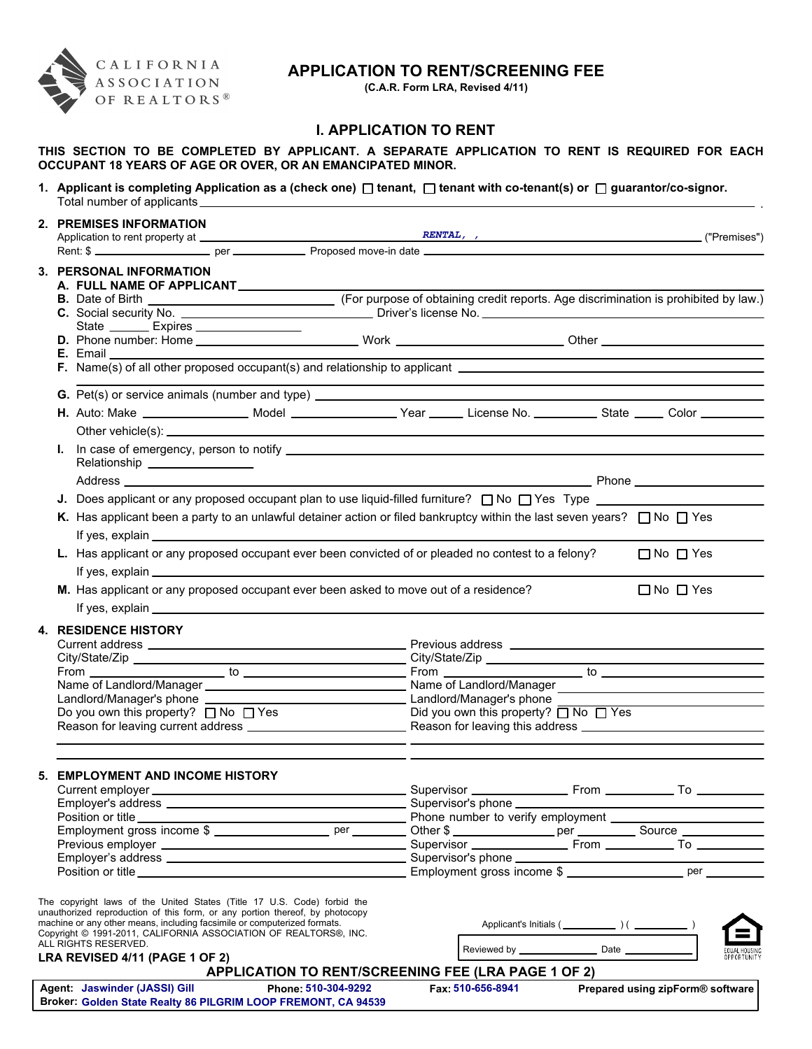

# **APPLICATION TO RENT/SCREENING FEE**

**(C.A.R. Form LRA, Revised 4/11)**

.

## **I. APPLICATION TO RENT**

**THIS SECTION TO BE COMPLETED BY APPLICANT. A SEPARATE APPLICATION TO RENT IS REQUIRED FOR EACH OCCUPANT 18 YEARS OF AGE OR OVER, OR AN EMANCIPATED MINOR.**

1. Applicant is completing Application as a (check one) □ tenant, □ tenant with co-tenant(s) or □ guarantor/co-signor. Total number of applicants

|    | 2. PREMISES INFORMATION                                                                                                                                                                                                                   |                                                     |                                                 |                          |  |                                                                                                                       |             |
|----|-------------------------------------------------------------------------------------------------------------------------------------------------------------------------------------------------------------------------------------------|-----------------------------------------------------|-------------------------------------------------|--------------------------|--|-----------------------------------------------------------------------------------------------------------------------|-------------|
|    |                                                                                                                                                                                                                                           |                                                     |                                                 |                          |  |                                                                                                                       |             |
|    | 3. PERSONAL INFORMATION                                                                                                                                                                                                                   |                                                     |                                                 |                          |  |                                                                                                                       |             |
|    | A. FULL NAME OF APPLICANT                                                                                                                                                                                                                 |                                                     |                                                 |                          |  |                                                                                                                       |             |
|    |                                                                                                                                                                                                                                           |                                                     |                                                 |                          |  |                                                                                                                       |             |
|    |                                                                                                                                                                                                                                           |                                                     |                                                 |                          |  |                                                                                                                       |             |
|    | State _________ Expires ___________________                                                                                                                                                                                               |                                                     |                                                 |                          |  |                                                                                                                       |             |
|    |                                                                                                                                                                                                                                           |                                                     |                                                 |                          |  |                                                                                                                       |             |
|    | <b>E.</b> Email <u>Landscape and the set of the set of the set of the set of the set of the set of the set of the set of the set of the set of the set of the set of the set of the set of the set of the set of the set of the set o</u> |                                                     |                                                 |                          |  |                                                                                                                       |             |
|    |                                                                                                                                                                                                                                           |                                                     |                                                 |                          |  | <u> 1989 - Johann Stoff, deutscher Stoff, der Stoff, der Stoff, der Stoff, der Stoff, der Stoff, der Stoff, der S</u> |             |
|    | G. Pet(s) or service animals (number and type) _________________________________                                                                                                                                                          |                                                     |                                                 |                          |  |                                                                                                                       |             |
|    | H. Auto: Make ___________________ Model __________________Year ______ License No. ___________ State _____ Color _________                                                                                                                 |                                                     |                                                 |                          |  |                                                                                                                       |             |
|    |                                                                                                                                                                                                                                           |                                                     |                                                 |                          |  |                                                                                                                       |             |
|    | Relationship ________________                                                                                                                                                                                                             |                                                     |                                                 |                          |  |                                                                                                                       |             |
|    |                                                                                                                                                                                                                                           |                                                     |                                                 |                          |  |                                                                                                                       |             |
|    | J. Does applicant or any proposed occupant plan to use liquid-filled furniture? $\Box$ No $\Box$ Yes Type $\Box$                                                                                                                          |                                                     |                                                 |                          |  |                                                                                                                       |             |
|    | K. Has applicant been a party to an unlawful detainer action or filed bankruptcy within the last seven years? $\Box$ No $\Box$ Yes                                                                                                        |                                                     |                                                 |                          |  |                                                                                                                       |             |
|    | If yes, explain example and the set of the set of the set of the set of the set of the set of the set of the set of the set of the set of the set of the set of the set of the set of the set of the set of the set of the set            |                                                     |                                                 |                          |  |                                                                                                                       |             |
|    | L. Has applicant or any proposed occupant ever been convicted of or pleaded no contest to a felony?                                                                                                                                       |                                                     |                                                 |                          |  | $\Box$ No $\Box$ Yes                                                                                                  |             |
|    |                                                                                                                                                                                                                                           |                                                     |                                                 |                          |  |                                                                                                                       |             |
|    | M. Has applicant or any proposed occupant ever been asked to move out of a residence?<br>$\Box$ No $\Box$ Yes                                                                                                                             |                                                     |                                                 |                          |  |                                                                                                                       |             |
|    |                                                                                                                                                                                                                                           |                                                     |                                                 |                          |  |                                                                                                                       |             |
|    |                                                                                                                                                                                                                                           |                                                     |                                                 |                          |  |                                                                                                                       |             |
|    | <b>4. RESIDENCE HISTORY</b>                                                                                                                                                                                                               |                                                     |                                                 |                          |  |                                                                                                                       |             |
|    |                                                                                                                                                                                                                                           |                                                     |                                                 |                          |  |                                                                                                                       |             |
|    |                                                                                                                                                                                                                                           |                                                     |                                                 |                          |  |                                                                                                                       |             |
|    |                                                                                                                                                                                                                                           |                                                     |                                                 |                          |  |                                                                                                                       |             |
|    |                                                                                                                                                                                                                                           |                                                     |                                                 |                          |  |                                                                                                                       |             |
|    | Do you own this property? $\Box$ No $\Box$ Yes                                                                                                                                                                                            |                                                     | Did you own this property? $\Box$ No $\Box$ Yes |                          |  |                                                                                                                       |             |
|    |                                                                                                                                                                                                                                           |                                                     |                                                 |                          |  |                                                                                                                       |             |
|    |                                                                                                                                                                                                                                           |                                                     |                                                 |                          |  |                                                                                                                       |             |
|    |                                                                                                                                                                                                                                           |                                                     |                                                 |                          |  |                                                                                                                       |             |
| 5. | <b>EMPLOYMENT AND INCOME HISTORY</b>                                                                                                                                                                                                      |                                                     |                                                 |                          |  |                                                                                                                       |             |
|    |                                                                                                                                                                                                                                           |                                                     |                                                 | Supervisor's phone _____ |  |                                                                                                                       |             |
|    | Employer's address ______________________                                                                                                                                                                                                 |                                                     |                                                 |                          |  |                                                                                                                       |             |
|    |                                                                                                                                                                                                                                           |                                                     |                                                 |                          |  |                                                                                                                       |             |
|    |                                                                                                                                                                                                                                           |                                                     |                                                 |                          |  |                                                                                                                       |             |
|    |                                                                                                                                                                                                                                           |                                                     |                                                 |                          |  |                                                                                                                       |             |
|    |                                                                                                                                                                                                                                           |                                                     |                                                 |                          |  |                                                                                                                       |             |
|    |                                                                                                                                                                                                                                           |                                                     |                                                 |                          |  |                                                                                                                       |             |
|    | The copyright laws of the United States (Title 17 U.S. Code) forbid the<br>unauthorized reproduction of this form, or any portion thereof, by photocopy                                                                                   |                                                     |                                                 |                          |  |                                                                                                                       |             |
|    | machine or any other means, including facsimile or computerized formats.                                                                                                                                                                  |                                                     |                                                 |                          |  |                                                                                                                       |             |
|    | Copyright © 1991-2011, CALIFORNIA ASSOCIATION OF REALTORS®, INC.<br>ALL RIGHTS RESERVED.                                                                                                                                                  |                                                     |                                                 |                          |  |                                                                                                                       |             |
|    | LRA REVISED 4/11 (PAGE 1 OF 2)                                                                                                                                                                                                            |                                                     |                                                 |                          |  |                                                                                                                       | OPPORTUNITY |
|    |                                                                                                                                                                                                                                           | APPLICATION TO RENT/SCREENING FEE (LRA PAGE 1 OF 2) |                                                 |                          |  |                                                                                                                       |             |

| ' Agent: Jaswinder (JASSI) Gill                               | Phone: 510-304-9292 | Fax: 510-656-8941 | Prepared using zipForm® software |
|---------------------------------------------------------------|---------------------|-------------------|----------------------------------|
| Broker: Golden State Realty 86 PILGRIM LOOP FREMONT, CA 94539 |                     |                   |                                  |